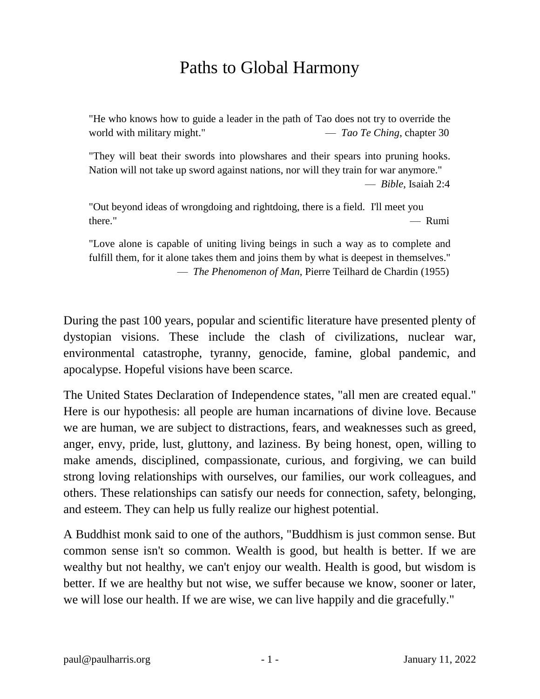## Paths to Global Harmony

"He who knows how to guide a leader in the path of Tao does not try to override the world with military might." — *Tao Te Ching*, chapter 30

"They will beat their swords into plowshares and their spears into pruning hooks. Nation will not take up sword against nations, nor will they train for war anymore." — *Bible*, Isaiah 2:4

"Out beyond ideas of wrongdoing and rightdoing, there is a field. I'll meet you there." — Rumi

"Love alone is capable of uniting living beings in such a way as to complete and fulfill them, for it alone takes them and joins them by what is deepest in themselves." — *The Phenomenon of Man*, Pierre Teilhard de Chardin (1955)

During the past 100 years, popular and scientific literature have presented plenty of dystopian visions. These include the clash of civilizations, nuclear war, environmental catastrophe, tyranny, genocide, famine, global pandemic, and apocalypse. Hopeful visions have been scarce.

The United States Declaration of Independence states, "all men are created equal." Here is our hypothesis: all people are human incarnations of divine love. Because we are human, we are subject to distractions, fears, and weaknesses such as greed, anger, envy, pride, lust, gluttony, and laziness. By being honest, open, willing to make amends, disciplined, compassionate, curious, and forgiving, we can build strong loving relationships with ourselves, our families, our work colleagues, and others. These relationships can satisfy our needs for connection, safety, belonging, and esteem. They can help us fully realize our highest potential.

A Buddhist monk said to one of the authors, "Buddhism is just common sense. But common sense isn't so common. Wealth is good, but health is better. If we are wealthy but not healthy, we can't enjoy our wealth. Health is good, but wisdom is better. If we are healthy but not wise, we suffer because we know, sooner or later, we will lose our health. If we are wise, we can live happily and die gracefully."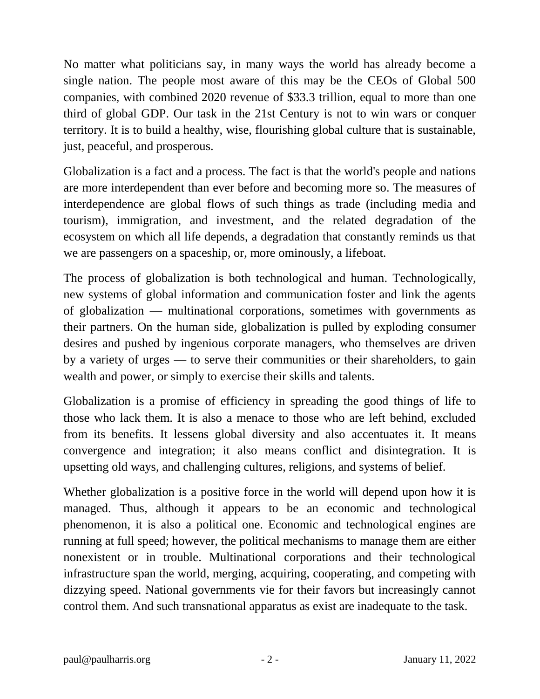No matter what politicians say, in many ways the world has already become a single nation. The people most aware of this may be the CEOs of Global 500 companies, with combined 2020 revenue of \$33.3 trillion, equal to more than one third of global GDP. Our task in the 21st Century is not to win wars or conquer territory. It is to build a healthy, wise, flourishing global culture that is sustainable, just, peaceful, and prosperous.

Globalization is a fact and a process. The fact is that the world's people and nations are more interdependent than ever before and becoming more so. The measures of interdependence are global flows of such things as trade (including media and tourism), immigration, and investment, and the related degradation of the ecosystem on which all life depends, a degradation that constantly reminds us that we are passengers on a spaceship, or, more ominously, a lifeboat.

The process of globalization is both technological and human. Technologically, new systems of global information and communication foster and link the agents of globalization — multinational corporations, sometimes with governments as their partners. On the human side, globalization is pulled by exploding consumer desires and pushed by ingenious corporate managers, who themselves are driven by a variety of urges — to serve their communities or their shareholders, to gain wealth and power, or simply to exercise their skills and talents.

Globalization is a promise of efficiency in spreading the good things of life to those who lack them. It is also a menace to those who are left behind, excluded from its benefits. It lessens global diversity and also accentuates it. It means convergence and integration; it also means conflict and disintegration. It is upsetting old ways, and challenging cultures, religions, and systems of belief.

Whether globalization is a positive force in the world will depend upon how it is managed. Thus, although it appears to be an economic and technological phenomenon, it is also a political one. Economic and technological engines are running at full speed; however, the political mechanisms to manage them are either nonexistent or in trouble. Multinational corporations and their technological infrastructure span the world, merging, acquiring, cooperating, and competing with dizzying speed. National governments vie for their favors but increasingly cannot control them. And such transnational apparatus as exist are inadequate to the task.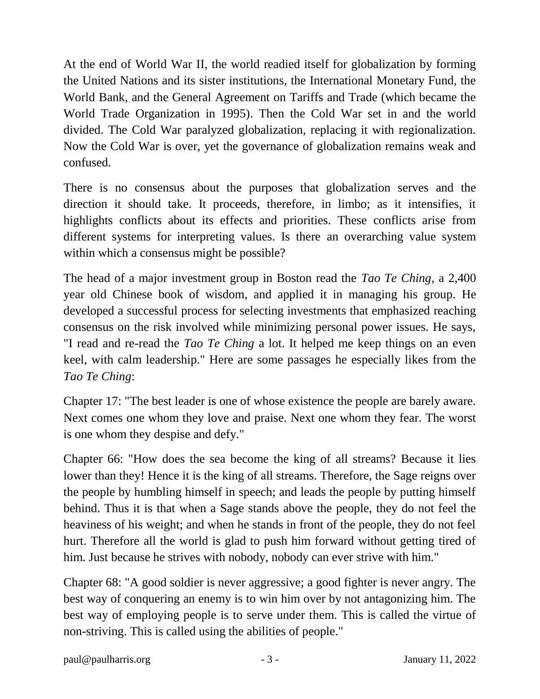At the end of World War II, the world readied itself for globalization by forming the United Nations and its sister institutions, the International Monetary Fund, the World Bank, and the General Agreement on Tariffs and Trade (which became the World Trade Organization in 1995). Then the Cold War set in and the world divided. The Cold War paralyzed globalization, replacing it with regionalization. Now the Cold War is over, yet the governance of globalization remains weak and confused.

There is no consensus about the purposes that globalization serves and the direction it should take. It proceeds, therefore, in limbo; as it intensifies, it highlights conflicts about its effects and priorities. These conflicts arise from different systems for interpreting values. Is there an overarching value system within which a consensus might be possible?

The head of a major investment group in Boston read the *Tao Te Ching*, a 2,400 year old Chinese book of wisdom, and applied it in managing his group. He developed a successful process for selecting investments that emphasized reaching consensus on the risk involved while minimizing personal power issues. He says, "I read and re-read the *Tao Te Ching* a lot. It helped me keep things on an even keel, with calm leadership." Here are some passages he especially likes from the *Tao Te Ching*:

Chapter 17: "The best leader is one of whose existence the people are barely aware. Next comes one whom they love and praise. Next one whom they fear. The worst is one whom they despise and defy."

Chapter 66: "How does the sea become the king of all streams? Because it lies lower than they! Hence it is the king of all streams. Therefore, the Sage reigns over the people by humbling himself in speech; and leads the people by putting himself behind. Thus it is that when a Sage stands above the people, they do not feel the heaviness of his weight; and when he stands in front of the people, they do not feel hurt. Therefore all the world is glad to push him forward without getting tired of him. Just because he strives with nobody, nobody can ever strive with him."

Chapter 68: "A good soldier is never aggressive; a good fighter is never angry. The best way of conquering an enemy is to win him over by not antagonizing him. The best way of employing people is to serve under them. This is called the virtue of non-striving. This is called using the abilities of people."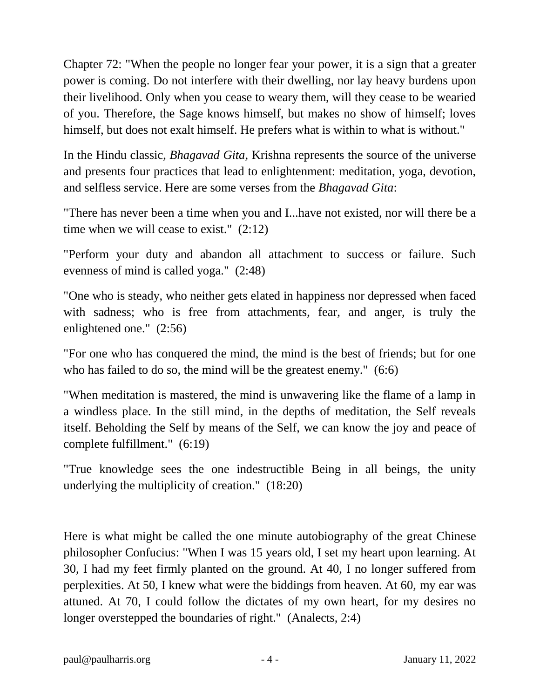Chapter 72: "When the people no longer fear your power, it is a sign that a greater power is coming. Do not interfere with their dwelling, nor lay heavy burdens upon their livelihood. Only when you cease to weary them, will they cease to be wearied of you. Therefore, the Sage knows himself, but makes no show of himself; loves himself, but does not exalt himself. He prefers what is within to what is without."

In the Hindu classic, *Bhagavad Gita*, Krishna represents the source of the universe and presents four practices that lead to enlightenment: meditation, yoga, devotion, and selfless service. Here are some verses from the *Bhagavad Gita*:

"There has never been a time when you and I...have not existed, nor will there be a time when we will cease to exist." (2:12)

"Perform your duty and abandon all attachment to success or failure. Such evenness of mind is called yoga." (2:48)

"One who is steady, who neither gets elated in happiness nor depressed when faced with sadness; who is free from attachments, fear, and anger, is truly the enlightened one." (2:56)

"For one who has conquered the mind, the mind is the best of friends; but for one who has failed to do so, the mind will be the greatest enemy." (6:6)

"When meditation is mastered, the mind is unwavering like the flame of a lamp in a windless place. In the still mind, in the depths of meditation, the Self reveals itself. Beholding the Self by means of the Self, we can know the joy and peace of complete fulfillment." (6:19)

"True knowledge sees the one indestructible Being in all beings, the unity underlying the multiplicity of creation." (18:20)

Here is what might be called the one minute autobiography of the great Chinese philosopher Confucius: "When I was 15 years old, I set my heart upon learning. At 30, I had my feet firmly planted on the ground. At 40, I no longer suffered from perplexities. At 50, I knew what were the biddings from heaven. At 60, my ear was attuned. At 70, I could follow the dictates of my own heart, for my desires no longer overstepped the boundaries of right." (Analects, 2:4)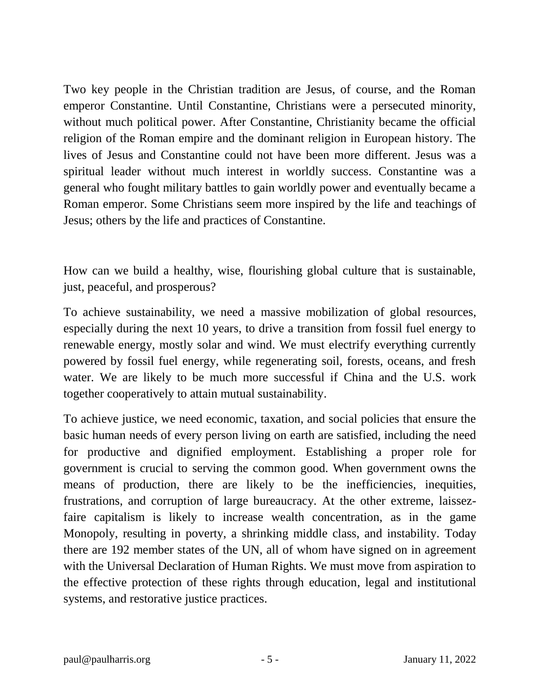Two key people in the Christian tradition are Jesus, of course, and the Roman emperor Constantine. Until Constantine, Christians were a persecuted minority, without much political power. After Constantine, Christianity became the official religion of the Roman empire and the dominant religion in European history. The lives of Jesus and Constantine could not have been more different. Jesus was a spiritual leader without much interest in worldly success. Constantine was a general who fought military battles to gain worldly power and eventually became a Roman emperor. Some Christians seem more inspired by the life and teachings of Jesus; others by the life and practices of Constantine.

How can we build a healthy, wise, flourishing global culture that is sustainable, just, peaceful, and prosperous?

To achieve sustainability, we need a massive mobilization of global resources, especially during the next 10 years, to drive a transition from fossil fuel energy to renewable energy, mostly solar and wind. We must electrify everything currently powered by fossil fuel energy, while regenerating soil, forests, oceans, and fresh water. We are likely to be much more successful if China and the U.S. work together cooperatively to attain mutual sustainability.

To achieve justice, we need economic, taxation, and social policies that ensure the basic human needs of every person living on earth are satisfied, including the need for productive and dignified employment. Establishing a proper role for government is crucial to serving the common good. When government owns the means of production, there are likely to be the inefficiencies, inequities, frustrations, and corruption of large bureaucracy. At the other extreme, laissezfaire capitalism is likely to increase wealth concentration, as in the game Monopoly, resulting in poverty, a shrinking middle class, and instability. Today there are 192 member states of the UN, all of whom have signed on in agreement with the Universal Declaration of Human Rights. We must move from aspiration to the effective protection of these rights through education, legal and institutional systems, and restorative justice practices.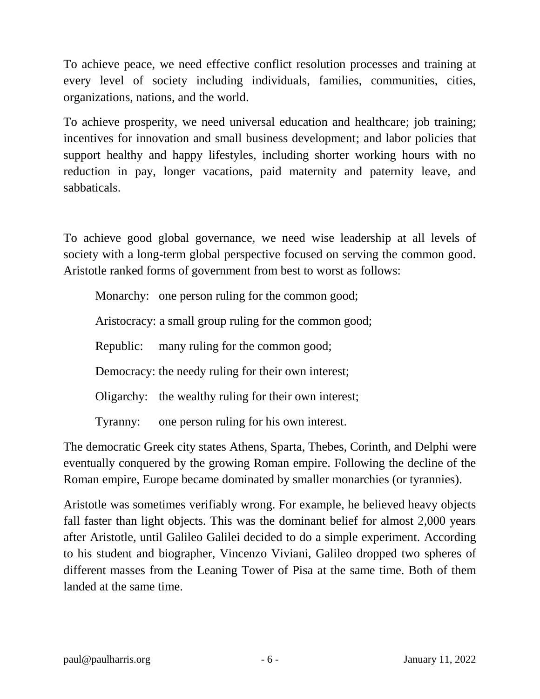To achieve peace, we need effective conflict resolution processes and training at every level of society including individuals, families, communities, cities, organizations, nations, and the world.

To achieve prosperity, we need universal education and healthcare; job training; incentives for innovation and small business development; and labor policies that support healthy and happy lifestyles, including shorter working hours with no reduction in pay, longer vacations, paid maternity and paternity leave, and sabbaticals.

To achieve good global governance, we need wise leadership at all levels of society with a long-term global perspective focused on serving the common good. Aristotle ranked forms of government from best to worst as follows:

Monarchy: one person ruling for the common good;

Aristocracy: a small group ruling for the common good;

Republic: many ruling for the common good;

Democracy: the needy ruling for their own interest;

Oligarchy: the wealthy ruling for their own interest;

Tyranny: one person ruling for his own interest.

The democratic Greek city states Athens, Sparta, Thebes, Corinth, and Delphi were eventually conquered by the growing Roman empire. Following the decline of the Roman empire, Europe became dominated by smaller monarchies (or tyrannies).

Aristotle was sometimes verifiably wrong. For example, he believed heavy objects fall faster than light objects. This was the dominant belief for almost 2,000 years after Aristotle, until Galileo Galilei decided to do a simple experiment. According to his student and biographer, Vincenzo Viviani, Galileo dropped two spheres of different masses from the Leaning Tower of Pisa at the same time. Both of them landed at the same time.